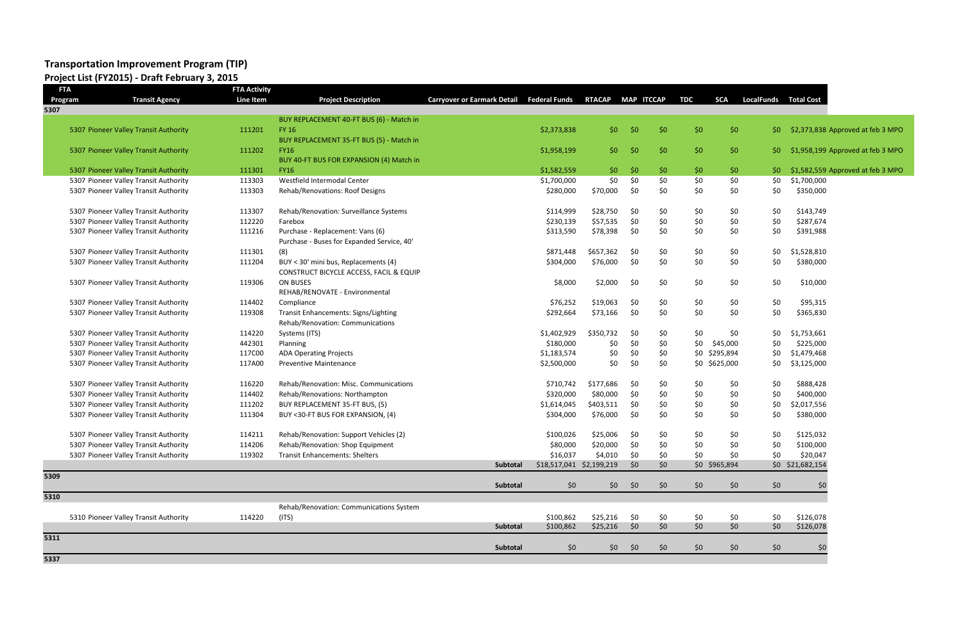# **Transportation Improvement Program (TIP)**

### **Project List (FY2015) - Draft February 3, 2015**

| <b>FTA</b> |                                       | <b>FTA Activity</b> |                                             |                                                  |                          |                  |                   |              |            |               |                   |                   |                                   |
|------------|---------------------------------------|---------------------|---------------------------------------------|--------------------------------------------------|--------------------------|------------------|-------------------|--------------|------------|---------------|-------------------|-------------------|-----------------------------------|
| Program    | <b>Transit Agency</b>                 | <b>Line Item</b>    | <b>Project Description</b>                  | <b>Carryover or Earmark Detail Federal Funds</b> |                          | <b>RTACAP</b>    | <b>MAP ITCCAP</b> |              | <b>TDC</b> | <b>SCA</b>    | <b>LocalFunds</b> | <b>Total Cost</b> |                                   |
| 5307       |                                       |                     |                                             |                                                  |                          |                  |                   |              |            |               |                   |                   |                                   |
|            |                                       |                     | BUY REPLACEMENT 40-FT BUS (6) - Match in    |                                                  |                          |                  |                   |              |            |               |                   |                   |                                   |
|            | 5307 Pioneer Valley Transit Authority | 111201              | <b>FY 16</b>                                |                                                  | \$2,373,838              | \$0              | \$0               | \$0          | \$0        | \$0           | -\$0.             |                   | \$2,373,838 Approved at feb 3 MPO |
|            |                                       |                     | BUY REPLACEMENT 35-FT BUS (5) - Match in    |                                                  |                          |                  |                   |              |            |               |                   |                   |                                   |
|            | 5307 Pioneer Valley Transit Authority | 111202              | <b>FY16</b>                                 |                                                  | \$1,958,199              | \$0 <sub>2</sub> | \$0               | \$0          | \$0\$      | \$0           | -\$0              |                   | \$1,958,199 Approved at feb 3 MPO |
|            |                                       |                     | BUY 40-FT BUS FOR EXPANSION (4) Match in    |                                                  |                          |                  |                   |              |            |               |                   |                   |                                   |
|            | 5307 Pioneer Valley Transit Authority | 111301              | <b>FY16</b>                                 |                                                  | \$1,582,559              | \$0\$            | \$0               | \$0          | \$0\$      | \$0           | \$0               |                   | \$1,582,559 Approved at feb 3 MPO |
|            | 5307 Pioneer Valley Transit Authority | 113303              | Westfield Intermodal Center                 |                                                  | \$1,700,000              | \$0              | \$0               | \$0          | \$0        | \$0           | \$0               | \$1,700,000       |                                   |
|            | 5307 Pioneer Valley Transit Authority | 113303              | Rehab/Renovations: Roof Designs             |                                                  | \$280,000                | \$70,000         | \$0               | \$0          | \$0        | \$0           | \$0               | \$350,000         |                                   |
|            | 5307 Pioneer Valley Transit Authority | 113307              | Rehab/Renovation: Surveillance Systems      |                                                  | \$114,999                | \$28,750         | \$0               | \$0          | \$0        | \$0           | \$0               | \$143,749         |                                   |
|            | 5307 Pioneer Valley Transit Authority | 112220              | Farebox                                     |                                                  | \$230,139                | \$57,535         | \$0               | \$0          | \$0        | \$0           | \$0               | \$287,674         |                                   |
|            | 5307 Pioneer Valley Transit Authority | 111216              | Purchase - Replacement: Vans (6)            |                                                  | \$313,590                | \$78,398         | \$0               | \$0          | \$0        | \$0           | \$0               | \$391,988         |                                   |
|            |                                       |                     | Purchase - Buses for Expanded Service, 40'  |                                                  |                          |                  |                   |              |            |               |                   |                   |                                   |
|            | 5307 Pioneer Valley Transit Authority | 111301              | (8)                                         |                                                  | \$871,448                | \$657,362        | \$0               | \$0          | \$0        | \$0           | \$0               | \$1,528,810       |                                   |
|            | 5307 Pioneer Valley Transit Authority | 111204              | BUY < 30' mini bus, Replacements (4)        |                                                  | \$304,000                | \$76,000         | \$0               | \$0          | \$0        | \$0           | \$0               | \$380,000         |                                   |
|            |                                       |                     | CONSTRUCT BICYCLE ACCESS, FACIL & EQUIP     |                                                  |                          |                  |                   |              |            |               |                   |                   |                                   |
|            | 5307 Pioneer Valley Transit Authority | 119306              | ON BUSES                                    |                                                  | \$8,000                  | \$2,000          | \$0               | \$0          | \$0        | \$0           | \$0               | \$10,000          |                                   |
|            |                                       |                     | REHAB/RENOVATE - Environmental              |                                                  |                          |                  |                   |              |            |               |                   |                   |                                   |
|            | 5307 Pioneer Valley Transit Authority | 114402              | Compliance                                  |                                                  | \$76,252                 | \$19,063         | \$0               | \$0          | \$0        | \$0           | \$0               | \$95,315          |                                   |
|            | 5307 Pioneer Valley Transit Authority | 119308              | <b>Transit Enhancements: Signs/Lighting</b> |                                                  | \$292,664                | \$73,166         | \$0               | \$0          | \$0        | \$0           | \$0               | \$365,830         |                                   |
|            |                                       |                     | Rehab/Renovation: Communications            |                                                  |                          |                  |                   |              |            |               |                   |                   |                                   |
|            | 5307 Pioneer Valley Transit Authority | 114220              | Systems (ITS)                               |                                                  | \$1,402,929              | \$350,732        | \$0               | \$0          | \$0        | \$0           | \$0               | \$1,753,661       |                                   |
|            | 5307 Pioneer Valley Transit Authority | 442301              | Planning                                    |                                                  | \$180,000                | \$0              | \$0               | \$0          | \$0        | \$45,000      | \$0               | \$225,000         |                                   |
|            | 5307 Pioneer Valley Transit Authority | 117C00              | <b>ADA Operating Projects</b>               |                                                  | \$1,183,574              | \$0              | \$0               | \$0          |            | \$0 \$295,894 | \$0               | \$1,479,468       |                                   |
|            | 5307 Pioneer Valley Transit Authority | 117A00              | <b>Preventive Maintenance</b>               |                                                  | \$2,500,000              | \$0              | \$0               | \$0          |            | \$0 \$625,000 | \$0               | \$3,125,000       |                                   |
|            |                                       |                     |                                             |                                                  |                          |                  |                   |              |            |               |                   |                   |                                   |
|            | 5307 Pioneer Valley Transit Authority | 116220              | Rehab/Renovation: Misc. Communications      |                                                  | \$710,742                | \$177,686        | \$0               | \$0          | \$0        | \$0           | \$0               | \$888,428         |                                   |
|            | 5307 Pioneer Valley Transit Authority | 114402              | Rehab/Renovations: Northampton              |                                                  | \$320,000                | \$80,000         | \$0               | \$0          | \$0        | \$0           | \$0               | \$400,000         |                                   |
|            | 5307 Pioneer Valley Transit Authority | 111202              | BUY REPLACEMENT 35-FT BUS, (5)              |                                                  | \$1,614,045              | \$403,511        | \$0               | \$0          | \$0        | \$0           | \$0               | \$2,017,556       |                                   |
|            | 5307 Pioneer Valley Transit Authority | 111304              | BUY <30-FT BUS FOR EXPANSION, (4)           |                                                  | \$304,000                | \$76,000         | \$0               | \$0          | \$0        | \$0           | \$0               | \$380,000         |                                   |
|            |                                       |                     |                                             |                                                  |                          |                  |                   |              |            |               |                   |                   |                                   |
|            | 5307 Pioneer Valley Transit Authority | 114211              | Rehab/Renovation: Support Vehicles (2)      |                                                  | \$100,026                | \$25,006         | \$0               | \$0          | \$0        | \$0           | \$0               | \$125,032         |                                   |
|            | 5307 Pioneer Valley Transit Authority | 114206              | Rehab/Renovation: Shop Equipment            |                                                  | \$80,000                 | \$20,000         | \$0               | \$0          | \$0        | \$0           | \$0               | \$100,000         |                                   |
|            | 5307 Pioneer Valley Transit Authority | 119302              | <b>Transit Enhancements: Shelters</b>       |                                                  | \$16,037                 | \$4,010          | \$0               | \$0          | \$0        | \$0           | \$0               | \$20,047          |                                   |
|            |                                       |                     |                                             | <b>Subtotal</b>                                  | \$18,517,041 \$2,199,219 |                  | \$0               | $50^{\circ}$ |            | \$0 \$965,894 |                   | \$0 \$21,682,154  |                                   |
| 5309       |                                       |                     |                                             |                                                  |                          |                  |                   |              |            |               |                   |                   |                                   |
|            |                                       |                     |                                             | Subtotal                                         | \$0                      | \$0\$            | \$0               | \$0          | \$0        | \$0           | \$0               | \$0               |                                   |
| 5310       |                                       |                     |                                             |                                                  |                          |                  |                   |              |            |               |                   |                   |                                   |
|            |                                       |                     | Rehab/Renovation: Communications System     |                                                  |                          |                  |                   |              |            |               |                   |                   |                                   |
|            | 5310 Pioneer Valley Transit Authority | 114220              | (ITS)                                       |                                                  | \$100,862                | \$25,216         | \$0               | \$0          | \$0        | \$0           | \$0               | \$126,078         |                                   |
|            |                                       |                     |                                             | <b>Subtotal</b>                                  | \$100,862                | $$25,216$ \$0    |                   | \$0          | \$0        | \$0           | \$0               | \$126,078         |                                   |
| 5311       |                                       |                     |                                             |                                                  |                          |                  |                   |              |            |               |                   |                   |                                   |
|            |                                       |                     |                                             | Subtotal                                         | \$0                      | \$0\$            | \$0               | \$0          | \$0        | \$0           | \$0               | \$0               |                                   |

**5337**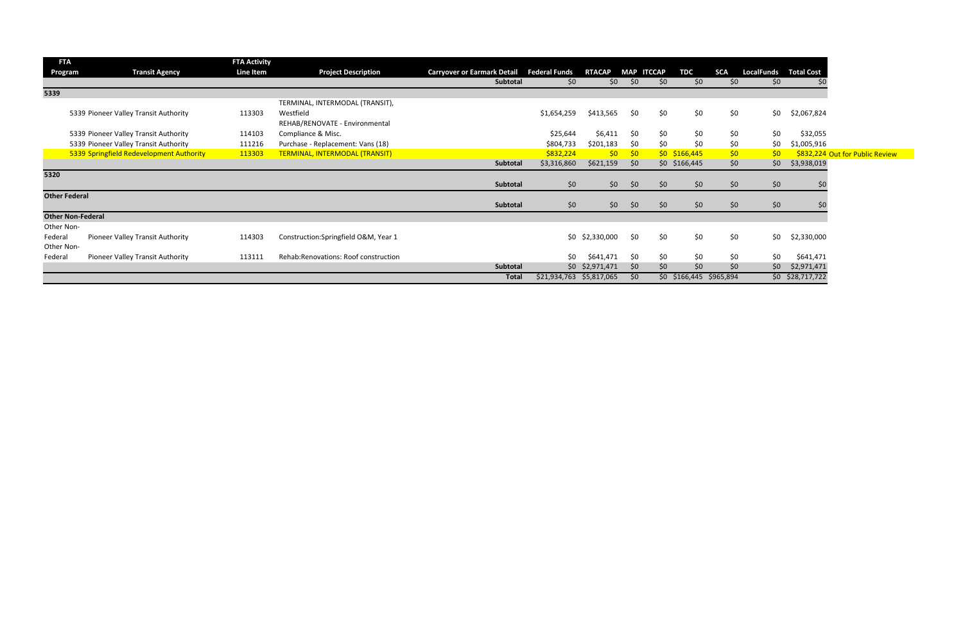| <b>FTA</b>               |                                          | <b>FTA Activity</b> |                                             |                                                  |                          |                   |                   |     |                         |            |                              |                    |                                 |
|--------------------------|------------------------------------------|---------------------|---------------------------------------------|--------------------------------------------------|--------------------------|-------------------|-------------------|-----|-------------------------|------------|------------------------------|--------------------|---------------------------------|
| Program                  | <b>Transit Agency</b>                    | Line Item           | <b>Project Description</b>                  | <b>Carryover or Earmark Detail Federal Funds</b> |                          | <b>RTACAP</b>     | <b>MAP ITCCAP</b> |     | <b>TDC</b>              | <b>SCA</b> | <b>LocalFunds Total Cost</b> |                    |                                 |
|                          |                                          |                     |                                             | Subtotal                                         | \$0                      | \$0               | \$0               | \$0 | \$0                     | \$0        | \$0                          |                    |                                 |
| 5339                     |                                          |                     |                                             |                                                  |                          |                   |                   |     |                         |            |                              |                    |                                 |
|                          |                                          |                     | TERMINAL, INTERMODAL (TRANSIT),             |                                                  |                          |                   |                   |     |                         |            |                              |                    |                                 |
|                          | 5339 Pioneer Valley Transit Authority    | 113303              | Westfield<br>REHAB/RENOVATE - Environmental |                                                  | \$1,654,259              | \$413,565         | \$0               | \$0 | \$0                     | \$0        | \$0\$                        | \$2,067,824        |                                 |
|                          | 5339 Pioneer Valley Transit Authority    | 114103              | Compliance & Misc.                          |                                                  | \$25,644                 | \$6,411           | \$0               | \$0 | \$0                     | \$0        | \$0                          | \$32,055           |                                 |
|                          | 5339 Pioneer Valley Transit Authority    | 111216              | Purchase - Replacement: Vans (18)           |                                                  | \$804,733                | \$201,183         | \$0               | \$0 | \$0                     | \$0        | \$0                          | \$1,005,916        |                                 |
|                          | 5339 Springfield Redevelopment Authority | 113303              | TERMINAL, INTERMODAL (TRANSIT)              |                                                  | \$832,224                | \$0               | 50 <sub>o</sub>   |     | $$0$ \$166,445          | \$0        | 50 <sub>2</sub>              |                    | \$832,224 Out for Public Review |
|                          |                                          |                     |                                             | Subtotal                                         | \$3,316,860              | \$621,159         | \$0               |     | $$0$ $$166,445$         | \$0        | 50 <sup>2</sup>              | \$3,938,019        |                                 |
| 5320                     |                                          |                     |                                             |                                                  |                          |                   |                   |     |                         |            |                              |                    |                                 |
|                          |                                          |                     |                                             | Subtotal                                         | \$0                      | \$0\$             | \$0               | \$0 | \$0                     | \$0        | \$0                          |                    |                                 |
| <b>Other Federal</b>     |                                          |                     |                                             |                                                  |                          |                   |                   |     |                         |            |                              |                    |                                 |
|                          |                                          |                     |                                             | Subtotal                                         | \$0                      | \$0\$             | \$0               | \$0 | \$0                     | \$0        | \$0                          |                    |                                 |
| <b>Other Non-Federal</b> |                                          |                     |                                             |                                                  |                          |                   |                   |     |                         |            |                              |                    |                                 |
| Other Non-               |                                          |                     |                                             |                                                  |                          |                   |                   |     |                         |            |                              |                    |                                 |
| Federal                  | Pioneer Valley Transit Authority         | 114303              | Construction:Springfield O&M, Year 1        |                                                  |                          | \$0 \$2,330,000   | \$0               | \$0 | \$0                     | \$0        | \$0                          | \$2,330,000        |                                 |
| Other Non-               |                                          |                     |                                             |                                                  |                          |                   |                   |     |                         |            |                              |                    |                                 |
| Federal                  | Pioneer Valley Transit Authority         | 113111              | Rehab:Renovations: Roof construction        |                                                  | \$0                      | \$641,471         | \$0               | \$0 | \$0                     | \$0        | \$0                          | \$641,471          |                                 |
|                          |                                          |                     |                                             | <b>Subtotal</b>                                  |                          | $$0$ $$2,971,471$ | $50^{\circ}$      | \$0 | \$0                     | \$0        | \$0                          | \$2,971,471        |                                 |
|                          |                                          |                     |                                             | <b>Total</b>                                     | \$21,934,763 \$5,817,065 |                   | \$0               |     | \$0 \$166,445 \$965,894 |            |                              | $$0$ $$28,717,722$ |                                 |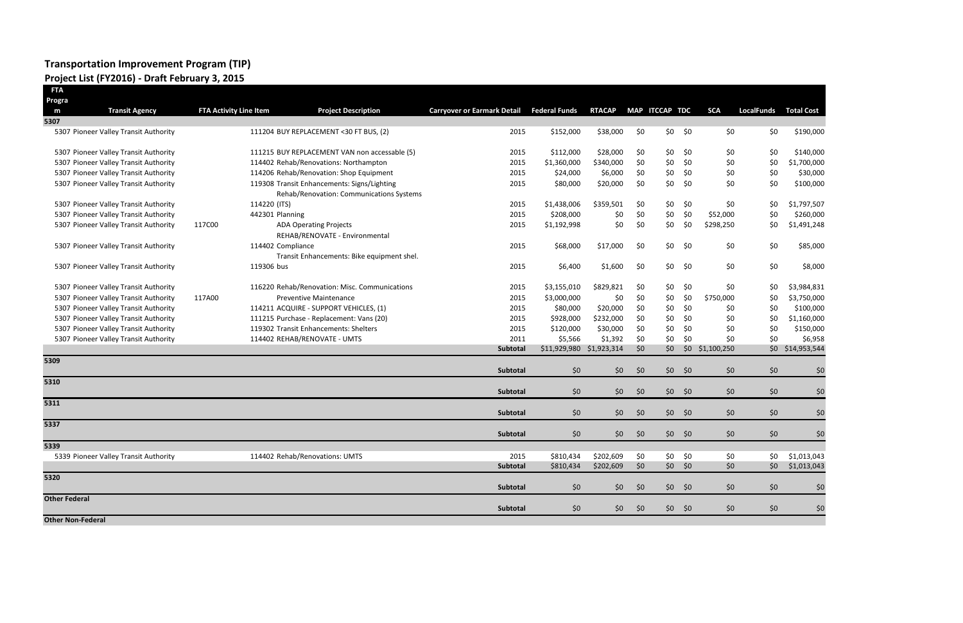#### **Transportation Improvement Program (TIP) Project List (FY2016) - Draft February 3, 2015**

| FTA                      |                                       |                               |                   |                                                                                         |                                    |                          |                        |            |                |                 |             |                   |                            |
|--------------------------|---------------------------------------|-------------------------------|-------------------|-----------------------------------------------------------------------------------------|------------------------------------|--------------------------|------------------------|------------|----------------|-----------------|-------------|-------------------|----------------------------|
| Progra                   |                                       |                               |                   |                                                                                         |                                    |                          |                        |            |                |                 |             |                   |                            |
| m                        | <b>Transit Agency</b>                 | <b>FTA Activity Line Item</b> |                   | <b>Project Description</b>                                                              | <b>Carryover or Earmark Detail</b> | <b>Federal Funds</b>     | <b>RTACAP</b>          |            | MAP ITCCAP TDC |                 | <b>SCA</b>  | <b>LocalFunds</b> | <b>Total Cost</b>          |
| 5307                     |                                       |                               |                   |                                                                                         |                                    |                          |                        |            |                |                 |             |                   |                            |
|                          | 5307 Pioneer Valley Transit Authority |                               |                   | 111204 BUY REPLACEMENT < 30 FT BUS, (2)                                                 | 2015                               | \$152,000                | \$38,000               | \$0        | \$0\$          | \$0             | \$0         | \$0               | \$190,000                  |
|                          | 5307 Pioneer Valley Transit Authority |                               |                   | 111215 BUY REPLACEMENT VAN non accessable (5)                                           | 2015                               | \$112,000                | \$28,000               | \$0        | \$0            | \$0             | \$0         | \$0               | \$140,000                  |
|                          | 5307 Pioneer Valley Transit Authority |                               |                   | 114402 Rehab/Renovations: Northampton                                                   | 2015                               | \$1,360,000              | \$340,000              | \$0        | \$0            | \$0             | \$0         | \$0               | \$1,700,000                |
|                          | 5307 Pioneer Valley Transit Authority |                               |                   | 114206 Rehab/Renovation: Shop Equipment                                                 | 2015                               | \$24,000                 | \$6,000                | \$0        | \$0            | \$0             | \$0         | \$0               | \$30,000                   |
|                          | 5307 Pioneer Valley Transit Authority |                               |                   | 119308 Transit Enhancements: Signs/Lighting<br>Rehab/Renovation: Communications Systems | 2015                               | \$80,000                 | \$20,000               | \$0        | \$0            | \$0             | \$0         | \$0               | \$100,000                  |
|                          | 5307 Pioneer Valley Transit Authority |                               | 114220 (ITS)      |                                                                                         | 2015                               | \$1,438,006              | \$359,501              | \$0        | \$0            | \$0             | \$0         | \$0               | \$1,797,507                |
|                          | 5307 Pioneer Valley Transit Authority |                               | 442301 Planning   |                                                                                         | 2015                               | \$208,000                | \$0                    | \$0        | \$0            | \$0             | \$52,000    | \$0               | \$260,000                  |
|                          | 5307 Pioneer Valley Transit Authority | 117C00                        |                   | <b>ADA Operating Projects</b><br>REHAB/RENOVATE - Environmental                         | 2015                               | \$1,192,998              | \$0                    | \$0        | \$0            | \$0             | \$298,250   | \$0               | \$1,491,248                |
|                          | 5307 Pioneer Valley Transit Authority |                               | 114402 Compliance | Transit Enhancements: Bike equipment shel.                                              | 2015                               | \$68,000                 | \$17,000               | \$0        | \$0            | \$0             | \$0         | \$0               | \$85,000                   |
|                          | 5307 Pioneer Valley Transit Authority |                               | 119306 bus        |                                                                                         | 2015                               | \$6,400                  | \$1,600                | \$0        | \$0            | - \$0           | \$0         | \$0               | \$8,000                    |
|                          | 5307 Pioneer Valley Transit Authority |                               |                   | 116220 Rehab/Renovation: Misc. Communications                                           | 2015                               | \$3,155,010              | \$829,821              | \$0        | \$0            | \$0             | \$0         | \$0               | \$3,984,831                |
|                          | 5307 Pioneer Valley Transit Authority | 117A00                        |                   | <b>Preventive Maintenance</b>                                                           | 2015                               | \$3,000,000              | \$0                    | \$0        | \$0            | \$0             | \$750,000   | \$0               | \$3,750,000                |
|                          | 5307 Pioneer Valley Transit Authority |                               |                   | 114211 ACQUIRE - SUPPORT VEHICLES, (1)                                                  | 2015                               | \$80,000                 | \$20,000               | \$0        | \$0            | \$0             | \$0         | \$0               | \$100,000                  |
|                          | 5307 Pioneer Valley Transit Authority |                               |                   | 111215 Purchase - Replacement: Vans (20)                                                | 2015                               | \$928,000                | \$232,000              | \$0        | \$0            | \$0             | \$0         | \$0               | \$1,160,000                |
|                          | 5307 Pioneer Valley Transit Authority |                               |                   | 119302 Transit Enhancements: Shelters                                                   | 2015                               | \$120,000                | \$30,000               | \$0        | \$0            | \$0             | \$0         | \$0               | \$150,000                  |
|                          | 5307 Pioneer Valley Transit Authority |                               |                   | 114402 REHAB/RENOVATE - UMTS                                                            | 2011                               | \$5,566                  | \$1,392                | \$0        | \$0            | \$0             | \$0         | \$0               | \$6,958                    |
|                          |                                       |                               |                   |                                                                                         | Subtotal                           | \$11,929,980 \$1,923,314 |                        | \$0        | \$0            | \$0             | \$1,100,250 | \$0\$             | \$14,953,544               |
| 5309                     |                                       |                               |                   |                                                                                         | Subtotal                           | \$0                      | \$0                    | \$0        |                | $$0$ \$0        | \$0         | \$0               | \$0                        |
| 5310                     |                                       |                               |                   |                                                                                         | Subtotal                           | \$0                      | \$0\$                  | \$0        | \$0            | \$0             | \$0         | \$0               | \$0                        |
| 5311                     |                                       |                               |                   |                                                                                         |                                    |                          |                        |            |                |                 |             |                   |                            |
| 5337                     |                                       |                               |                   |                                                                                         | Subtotal                           | \$0                      | \$0\$                  | \$0        |                | $$0$ \$0        | \$0         | \$0               | \$0                        |
|                          |                                       |                               |                   |                                                                                         | Subtotal                           | \$0                      | \$0                    | \$0        | \$0\$          | \$0             | \$0         | \$0               | \$0                        |
| 5339                     |                                       |                               |                   |                                                                                         |                                    |                          |                        |            |                |                 |             |                   |                            |
|                          | 5339 Pioneer Valley Transit Authority |                               |                   | 114402 Rehab/Renovations: UMTS                                                          | 2015<br>Subtotal                   | \$810,434<br>\$810,434   | \$202,609<br>\$202,609 | \$0<br>\$0 | \$0            | \$0<br>$$0$ \$0 | \$0<br>\$0  | \$0<br>\$0\$      | \$1,013,043<br>\$1,013,043 |
| 5320                     |                                       |                               |                   |                                                                                         | Subtotal                           | \$0                      | \$0                    | \$0        |                | $$0$ \$0        | \$0         | \$0               | \$0                        |
| <b>Other Federal</b>     |                                       |                               |                   |                                                                                         | Subtotal                           | \$0                      |                        |            |                | $$0$ \$0        | \$0         |                   |                            |
| <b>Other Non-Federal</b> |                                       |                               |                   |                                                                                         |                                    |                          | \$0\$                  | \$0        |                |                 |             | \$0               | \$0                        |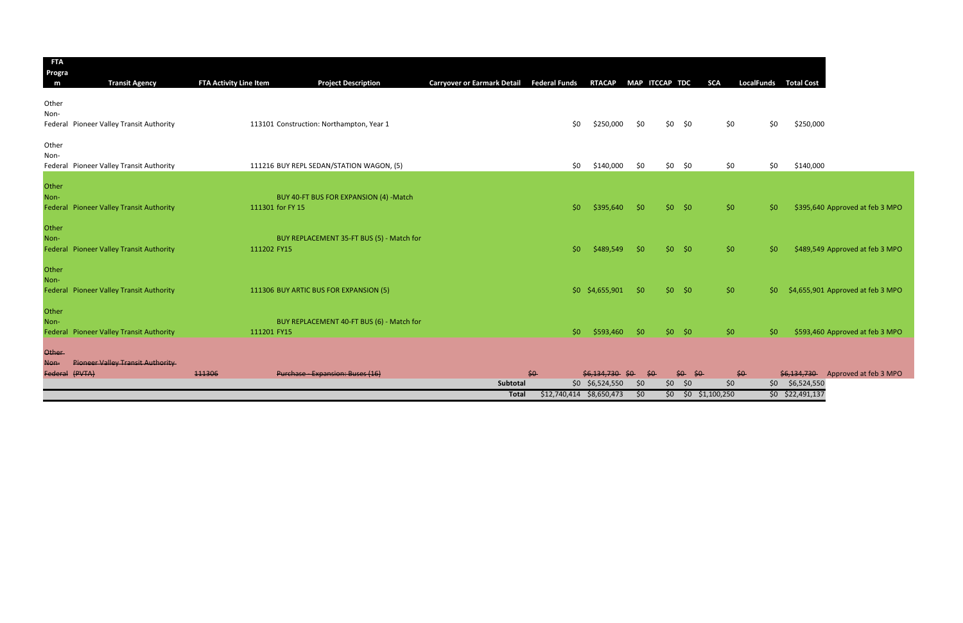| <b>FTA</b><br>Progra |                                          |                        |                                           |                                                  |                            |                  |                |              |                        |                              |                    |                                   |
|----------------------|------------------------------------------|------------------------|-------------------------------------------|--------------------------------------------------|----------------------------|------------------|----------------|--------------|------------------------|------------------------------|--------------------|-----------------------------------|
| m                    | <b>Transit Agency</b>                    | FTA Activity Line Item | <b>Project Description</b>                | Carryover or Earmark Detail Federal Funds RTACAP |                            |                  | MAP ITCCAP TDC |              | <b>SCA</b>             | <b>LocalFunds Total Cost</b> |                    |                                   |
| Other                |                                          |                        |                                           |                                                  |                            |                  |                |              |                        |                              |                    |                                   |
| Non-                 |                                          |                        |                                           |                                                  |                            |                  |                |              |                        |                              |                    |                                   |
|                      | Federal Pioneer Valley Transit Authority |                        | 113101 Construction: Northampton, Year 1  |                                                  | \$0                        | \$250,000        | \$0            | $$0$ \$0     | \$0                    | \$0                          | \$250,000          |                                   |
| Other                |                                          |                        |                                           |                                                  |                            |                  |                |              |                        |                              |                    |                                   |
| Non-                 | Federal Pioneer Valley Transit Authority |                        | 111216 BUY REPL SEDAN/STATION WAGON, (5)  |                                                  | \$0\$                      | \$140,000        | \$0            | $$0$ \$0     | \$0                    | \$0                          | \$140,000          |                                   |
| Other                |                                          |                        |                                           |                                                  |                            |                  |                |              |                        |                              |                    |                                   |
| Non-                 |                                          |                        | BUY 40-FT BUS FOR EXPANSION (4) -Match    |                                                  |                            |                  |                |              |                        |                              |                    |                                   |
|                      | Federal Pioneer Valley Transit Authority | 111301 for FY 15       |                                           |                                                  | \$0                        | \$395,640        | \$0            | $$0$ \$0     | \$0                    | S <sub>0</sub>               |                    | \$395,640 Approved at feb 3 MPO   |
| Other                |                                          |                        |                                           |                                                  |                            |                  |                |              |                        |                              |                    |                                   |
| Non-                 |                                          |                        | BUY REPLACEMENT 35-FT BUS (5) - Match for |                                                  |                            |                  |                |              |                        |                              |                    |                                   |
|                      | Federal Pioneer Valley Transit Authority | 111202 FY15            |                                           |                                                  | \$0                        | \$489,549        | \$0            | $$0$ \$0     | \$0                    | S <sub>0</sub>               |                    | \$489,549 Approved at feb 3 MPO   |
| Other                |                                          |                        |                                           |                                                  |                            |                  |                |              |                        |                              |                    |                                   |
| Non-                 |                                          |                        |                                           |                                                  |                            |                  |                |              |                        |                              |                    |                                   |
|                      | Federal Pioneer Valley Transit Authority |                        | 111306 BUY ARTIC BUS FOR EXPANSION (5)    |                                                  |                            | \$0 \$4,655,901  | \$0            | $$0$ \$0     | \$0                    | -\$0 ·                       |                    | \$4,655,901 Approved at feb 3 MPO |
| Other                |                                          |                        |                                           |                                                  |                            |                  |                |              |                        |                              |                    |                                   |
| Non-                 |                                          |                        | BUY REPLACEMENT 40-FT BUS (6) - Match for |                                                  |                            |                  |                |              |                        |                              |                    |                                   |
|                      | Federal Pioneer Valley Transit Authority | 111201 FY15            |                                           |                                                  | \$0                        | \$593,460        | \$0            | $$0$ \$0     | \$0\$                  | \$0                          |                    | \$593,460 Approved at feb 3 MPO   |
| <b>Other</b>         |                                          |                        |                                           |                                                  |                            |                  |                |              |                        |                              |                    |                                   |
| Non-                 | <b>Pioneer Valley Transit Authority</b>  |                        |                                           |                                                  |                            |                  |                |              |                        |                              |                    |                                   |
|                      | Federal (PVTA)                           | 111306                 | Purchase - Expansion: Buses (16)          |                                                  | $50 -$                     | \$6.134.730      | \$0<br>\$O     | $$0.$ \$0    |                        | $$0-$                        |                    | \$6,134,730 Approved at feb 3 MPO |
|                      |                                          |                        |                                           | Subtotal                                         |                            | $$0$ \$6,524,550 | \$0            | \$0\$<br>\$0 | $50^{\circ}$           | \$0                          | \$6,524,550        |                                   |
|                      |                                          |                        |                                           | <b>Total</b>                                     | $$12,740,414$ $$8,650,473$ |                  | \$0            |              | $$0$ $$0$ $$1,100,250$ |                              | $$0$ $$22,491,137$ |                                   |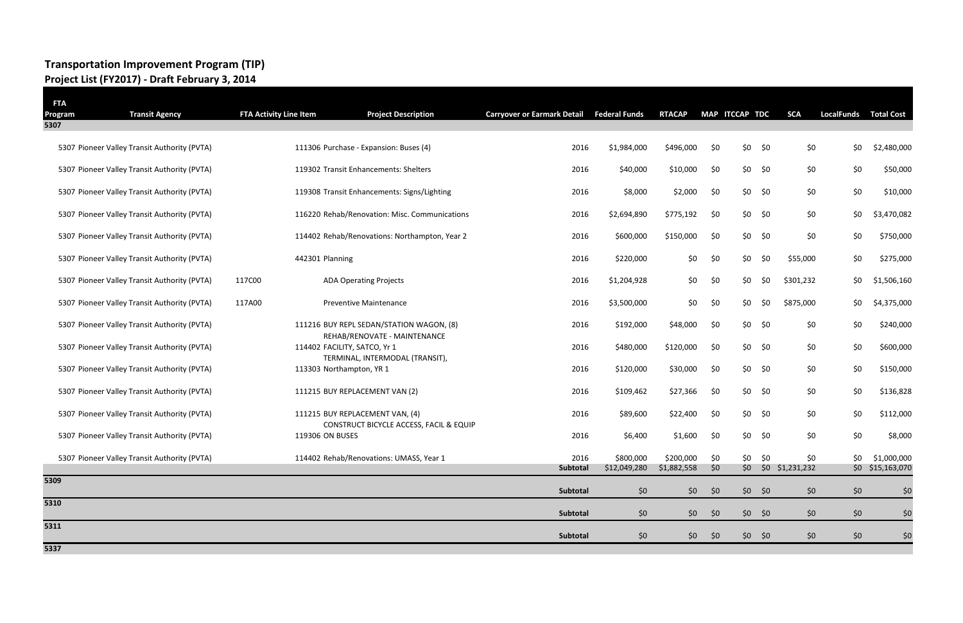### **Transportation Improvement Program (TIP) Project List (FY2017) - Draft February 3, 2014**

| <b>FTA</b><br>Program | <b>Transit Agency</b>                        | <b>FTA Activity Line Item</b> | <b>Project Description</b>                                                 | <b>Carryover or Earmark Detail</b> | <b>Federal Funds</b>      | <b>RTACAP</b>            |                | MAP ITCCAP TDC | <b>SCA</b>                 | <b>LocalFunds</b> | <b>Total Cost</b>               |
|-----------------------|----------------------------------------------|-------------------------------|----------------------------------------------------------------------------|------------------------------------|---------------------------|--------------------------|----------------|----------------|----------------------------|-------------------|---------------------------------|
| 5307                  |                                              |                               |                                                                            |                                    |                           |                          |                |                |                            |                   |                                 |
|                       | 5307 Pioneer Valley Transit Authority (PVTA) |                               | 111306 Purchase - Expansion: Buses (4)                                     | 2016                               | \$1,984,000               | \$496,000                | \$0            | \$0            | \$0                        | \$0<br>\$0        | \$2,480,000                     |
|                       | 5307 Pioneer Valley Transit Authority (PVTA) |                               | 119302 Transit Enhancements: Shelters                                      | 2016                               | \$40,000                  | \$10,000                 | \$0            | \$0            | \$0                        | \$0<br>\$0        | \$50,000                        |
|                       | 5307 Pioneer Valley Transit Authority (PVTA) |                               | 119308 Transit Enhancements: Signs/Lighting                                | 2016                               | \$8,000                   | \$2,000                  | \$0            | \$0            | \$0                        | \$0\$<br>\$0      | \$10,000                        |
|                       | 5307 Pioneer Valley Transit Authority (PVTA) |                               | 116220 Rehab/Renovation: Misc. Communications                              | 2016                               | \$2,694,890               | \$775,192                | \$0            | \$0            | \$0                        | \$0<br>\$0        | \$3,470,082                     |
|                       | 5307 Pioneer Valley Transit Authority (PVTA) |                               | 114402 Rehab/Renovations: Northampton, Year 2                              | 2016                               | \$600,000                 | \$150,000                | \$0            | \$0            | \$0                        | \$0<br>\$0        | \$750,000                       |
|                       | 5307 Pioneer Valley Transit Authority (PVTA) | 442301 Planning               |                                                                            | 2016                               | \$220,000                 | \$0                      | \$0            | \$0            | \$0<br>\$55,000            | \$0               | \$275,000                       |
|                       | 5307 Pioneer Valley Transit Authority (PVTA) | 117C00                        | <b>ADA Operating Projects</b>                                              | 2016                               | \$1,204,928               | \$0                      | \$0            | \$0            | \$0<br>\$301,232           | \$0               | \$1,506,160                     |
|                       | 5307 Pioneer Valley Transit Authority (PVTA) | 117A00                        | Preventive Maintenance                                                     | 2016                               | \$3,500,000               | \$0                      | \$0            | \$0            | \$0<br>\$875,000           | \$0               | \$4,375,000                     |
|                       | 5307 Pioneer Valley Transit Authority (PVTA) |                               | 111216 BUY REPL SEDAN/STATION WAGON, (8)<br>REHAB/RENOVATE - MAINTENANCE   | 2016                               | \$192,000                 | \$48,000                 | \$0            | \$0\$          | \$0                        | \$0<br>\$0        | \$240,000                       |
|                       | 5307 Pioneer Valley Transit Authority (PVTA) |                               | 114402 FACILITY, SATCO, Yr 1<br>TERMINAL, INTERMODAL (TRANSIT),            | 2016                               | \$480,000                 | \$120,000                | \$0            | \$0\$          | \$0                        | \$0<br>\$0        | \$600,000                       |
|                       | 5307 Pioneer Valley Transit Authority (PVTA) |                               | 113303 Northampton, YR 1                                                   | 2016                               | \$120,000                 | \$30,000                 | \$0            | \$0            | \$0                        | \$0<br>\$0        | \$150,000                       |
|                       | 5307 Pioneer Valley Transit Authority (PVTA) |                               | 111215 BUY REPLACEMENT VAN (2)                                             | 2016                               | \$109,462                 | \$27,366                 | \$0            | \$0            | \$0                        | \$0<br>\$0        | \$136,828                       |
|                       | 5307 Pioneer Valley Transit Authority (PVTA) |                               | 111215 BUY REPLACEMENT VAN, (4)<br>CONSTRUCT BICYCLE ACCESS, FACIL & EQUIP | 2016                               | \$89,600                  | \$22,400                 | \$0            | \$0\$          | \$0                        | \$0<br>\$0        | \$112,000                       |
|                       | 5307 Pioneer Valley Transit Authority (PVTA) | 119306 ON BUSES               |                                                                            | 2016                               | \$6,400                   | \$1,600                  | \$0            | \$0            | \$0                        | \$0<br>\$0        | \$8,000                         |
|                       | 5307 Pioneer Valley Transit Authority (PVTA) |                               | 114402 Rehab/Renovations: UMASS, Year 1                                    | 2016<br>Subtotal                   | \$800,000<br>\$12,049,280 | \$200,000<br>\$1,882,558 | \$0<br>$\zeta$ | \$0            | \$0<br>\$0 \$0 \$1,231,232 | \$0<br>\$0        | \$1,000,000<br>\$0 \$15,163,070 |
| 5309                  |                                              |                               |                                                                            |                                    |                           |                          |                |                |                            |                   |                                 |
|                       |                                              |                               |                                                                            | Subtotal                           | \$0                       | \$0\$                    | \$0            | $$0$ \$0       |                            | \$0<br>\$0        | \$0                             |
| 5310                  |                                              |                               |                                                                            | Subtotal                           | \$0                       | \$0\$                    | \$0            | $$0$ \$0       |                            | \$0<br>\$0        | \$0                             |
| 5311                  |                                              |                               |                                                                            | Subtotal                           | \$0                       | \$0                      | \$0            | $$0$ \$0       |                            | \$0<br>\$0        | \$0                             |
| 5337                  |                                              |                               |                                                                            |                                    |                           |                          |                |                |                            |                   |                                 |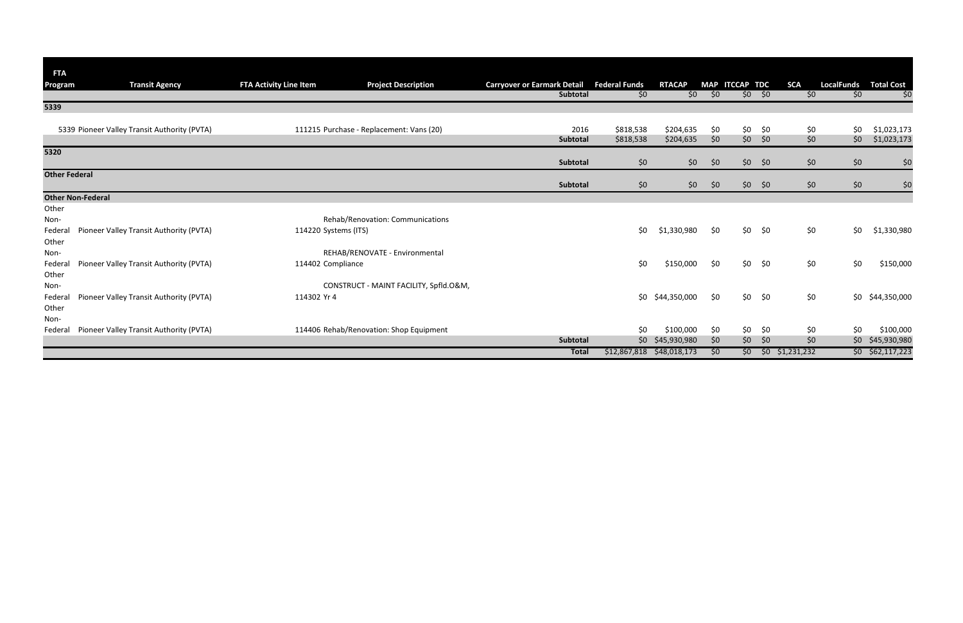| <b>FTA</b>           |                                              |                               |                                          |                                    |                      |                  |     |                |                |                        |                   |                    |
|----------------------|----------------------------------------------|-------------------------------|------------------------------------------|------------------------------------|----------------------|------------------|-----|----------------|----------------|------------------------|-------------------|--------------------|
| Program              | <b>Transit Agency</b>                        | <b>FTA Activity Line Item</b> | <b>Project Description</b>               | <b>Carryover or Earmark Detail</b> | <b>Federal Funds</b> | <b>RTACAP</b>    |     | MAP ITCCAP TDC |                | <b>SCA</b>             | <b>LocalFunds</b> | <b>Total Cost</b>  |
|                      |                                              |                               |                                          | Subtotal                           | \$0                  | \$0\$            | \$0 |                | $$0$ \$0       | \$0                    | \$0               | \$0                |
| 5339                 |                                              |                               |                                          |                                    |                      |                  |     |                |                |                        |                   |                    |
|                      |                                              |                               |                                          |                                    |                      |                  |     |                |                |                        |                   |                    |
|                      | 5339 Pioneer Valley Transit Authority (PVTA) |                               | 111215 Purchase - Replacement: Vans (20) | 2016                               | \$818,538            | \$204,635        | \$0 | \$0\$          | \$0            | \$0                    | \$0               | \$1,023,173        |
|                      |                                              |                               |                                          | Subtotal                           | \$818,538            | \$204,635        | \$0 | \$0\$          | \$0            | \$0                    | \$0               | \$1,023,173        |
| 5320                 |                                              |                               |                                          |                                    |                      |                  |     |                |                |                        |                   |                    |
|                      |                                              |                               |                                          | Subtotal                           | \$0                  | \$0              | \$0 |                | $$0$ \$0       | \$0                    | \$0\$             | \$0                |
| <b>Other Federal</b> |                                              |                               |                                          | Subtotal                           | \$0                  | \$0\$            | \$0 |                | $$0$ \$0       | \$0                    | \$0\$             | \$0                |
|                      | <b>Other Non-Federal</b>                     |                               |                                          |                                    |                      |                  |     |                |                |                        |                   |                    |
|                      |                                              |                               |                                          |                                    |                      |                  |     |                |                |                        |                   |                    |
| Other<br>Non-        |                                              |                               | Rehab/Renovation: Communications         |                                    |                      |                  |     |                |                |                        |                   |                    |
|                      |                                              |                               |                                          |                                    |                      |                  |     |                |                |                        |                   |                    |
| Federal              | Pioneer Valley Transit Authority (PVTA)      | 114220 Systems (ITS)          |                                          |                                    | \$0                  | \$1,330,980      | \$0 |                | $$0$ \$0       | \$0                    | \$0               | \$1,330,980        |
| Other                |                                              |                               |                                          |                                    |                      |                  |     |                |                |                        |                   |                    |
| Non-                 |                                              |                               | REHAB/RENOVATE - Environmental           |                                    |                      |                  |     |                |                |                        |                   |                    |
| Federal              | Pioneer Valley Transit Authority (PVTA)      | 114402 Compliance             |                                          |                                    | \$0                  | \$150,000        | \$0 |                | $$0$ \$0       | \$0                    | \$0               | \$150,000          |
| Other                |                                              |                               |                                          |                                    |                      |                  |     |                |                |                        |                   |                    |
| Non-                 |                                              |                               | CONSTRUCT - MAINT FACILITY, Spfld.O&M,   |                                    |                      |                  |     |                |                |                        |                   |                    |
| Federal              | Pioneer Valley Transit Authority (PVTA)      | 114302 Yr 4                   |                                          |                                    | \$0                  | \$44,350,000     | \$0 |                | $$0$ \$0       | \$0                    |                   | \$0 \$44,350,000   |
| Other                |                                              |                               |                                          |                                    |                      |                  |     |                |                |                        |                   |                    |
| Non-                 |                                              |                               |                                          |                                    |                      |                  |     |                |                |                        |                   |                    |
| Federal              | Pioneer Valley Transit Authority (PVTA)      |                               | 114406 Rehab/Renovation: Shop Equipment  |                                    | \$0                  | \$100,000        | \$0 | \$0\$          | \$0            | \$0                    | \$0               | \$100,000          |
|                      |                                              |                               |                                          | Subtotal                           |                      | \$0 \$45,930,980 | \$0 | \$0            | $\frac{1}{2}0$ | \$0                    |                   | \$0 \$45,930,980   |
|                      |                                              |                               |                                          | <b>Total</b>                       | \$12,867,818         | \$48,018,173     | \$0 |                |                | $$0$ $$0$ $$1,231,232$ |                   | $$0$ $$62,117,223$ |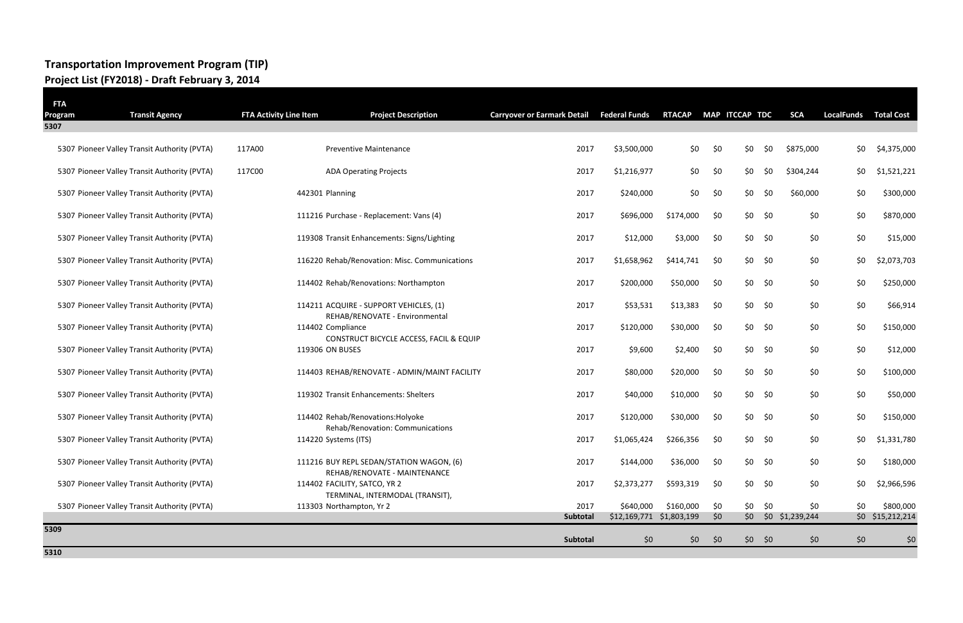## **Transportation Improvement Program (TIP) Project List (FY2018) - Draft February 3, 2014**

| <b>FTA</b><br>Program | <b>Transit Agency</b>                        | <b>FTA Activity Line Item</b> | <b>Project Description</b>                                               | <b>Carryover or Earmark Detail</b> | <b>Federal Funds</b>                  | <b>RTACAP</b> |            | MAP ITCCAP TDC | <b>SCA</b>                 | <b>LocalFunds</b> | <b>Total Cost</b>             |
|-----------------------|----------------------------------------------|-------------------------------|--------------------------------------------------------------------------|------------------------------------|---------------------------------------|---------------|------------|----------------|----------------------------|-------------------|-------------------------------|
| 5307                  |                                              |                               |                                                                          |                                    |                                       |               |            |                |                            |                   |                               |
|                       | 5307 Pioneer Valley Transit Authority (PVTA) | 117A00                        | <b>Preventive Maintenance</b>                                            | 2017                               | \$3,500,000                           | \$0           | \$0        | \$0            | \$0<br>\$875,000           | \$0               | \$4,375,000                   |
|                       | 5307 Pioneer Valley Transit Authority (PVTA) | 117C00                        | <b>ADA Operating Projects</b>                                            | 2017                               | \$1,216,977                           | \$0           | \$0        | \$0            | \$0<br>\$304,244           | \$0               | \$1,521,221                   |
|                       | 5307 Pioneer Valley Transit Authority (PVTA) |                               | 442301 Planning                                                          | 2017                               | \$240,000                             | \$0           | \$0        | \$0            | \$0<br>\$60,000            | \$0               | \$300,000                     |
|                       | 5307 Pioneer Valley Transit Authority (PVTA) |                               | 111216 Purchase - Replacement: Vans (4)                                  | 2017                               | \$696,000                             | \$174,000     | \$0        | $$0$ \$0       | \$0                        | \$0               | \$870,000                     |
|                       | 5307 Pioneer Valley Transit Authority (PVTA) |                               | 119308 Transit Enhancements: Signs/Lighting                              | 2017                               | \$12,000                              | \$3,000       | \$0        | $$0$ \$0       | \$0                        | \$0               | \$15,000                      |
|                       | 5307 Pioneer Valley Transit Authority (PVTA) |                               | 116220 Rehab/Renovation: Misc. Communications                            | 2017                               | \$1,658,962                           | \$414,741     | \$0        | $$0$ \$0       | \$0                        | \$0               | \$2,073,703                   |
|                       | 5307 Pioneer Valley Transit Authority (PVTA) |                               | 114402 Rehab/Renovations: Northampton                                    | 2017                               | \$200,000                             | \$50,000      | \$0        | $$0$ \$0       | \$0                        | \$0               | \$250,000                     |
|                       | 5307 Pioneer Valley Transit Authority (PVTA) |                               | 114211 ACQUIRE - SUPPORT VEHICLES, (1)<br>REHAB/RENOVATE - Environmental | 2017                               | \$53,531                              | \$13,383      | \$0        | \$0<br>\$0     | \$0                        | \$0               | \$66,914                      |
|                       | 5307 Pioneer Valley Transit Authority (PVTA) |                               | 114402 Compliance<br>CONSTRUCT BICYCLE ACCESS, FACIL & EQUIP             | 2017                               | \$120,000                             | \$30,000      | \$0        | $$0$ \$0       | \$0                        | \$0               | \$150,000                     |
|                       | 5307 Pioneer Valley Transit Authority (PVTA) |                               | 119306 ON BUSES                                                          | 2017                               | \$9,600                               | \$2,400       | \$0        | $$0$ \$0       | \$0                        | \$0               | \$12,000                      |
|                       | 5307 Pioneer Valley Transit Authority (PVTA) |                               | 114403 REHAB/RENOVATE - ADMIN/MAINT FACILITY                             | 2017                               | \$80,000                              | \$20,000      | \$0        | $$0$ \$0       | \$0                        | \$0               | \$100,000                     |
|                       | 5307 Pioneer Valley Transit Authority (PVTA) |                               | 119302 Transit Enhancements: Shelters                                    | 2017                               | \$40,000                              | \$10,000      | \$0        | $$0$ \$0       | \$0                        | \$0               | \$50,000                      |
|                       | 5307 Pioneer Valley Transit Authority (PVTA) |                               | 114402 Rehab/Renovations: Holyoke<br>Rehab/Renovation: Communications    | 2017                               | \$120,000                             | \$30,000      | \$0        | $$0$ \$0       | \$0                        | \$0               | \$150,000                     |
|                       | 5307 Pioneer Valley Transit Authority (PVTA) |                               | 114220 Systems (ITS)                                                     | 2017                               | \$1,065,424                           | \$266,356     | \$0        | \$0            | \$0<br>\$0                 | \$0               | \$1,331,780                   |
|                       | 5307 Pioneer Valley Transit Authority (PVTA) |                               | 111216 BUY REPL SEDAN/STATION WAGON, (6)<br>REHAB/RENOVATE - MAINTENANCE | 2017                               | \$144,000                             | \$36,000      | \$0        | $$0$ \$0       | \$0                        | \$0               | \$180,000                     |
|                       | 5307 Pioneer Valley Transit Authority (PVTA) |                               | 114402 FACILITY, SATCO, YR 2<br>TERMINAL, INTERMODAL (TRANSIT),          | 2017                               | \$2,373,277                           | \$593,319     | \$0        | $$0 \t 50$     | \$0                        | \$0               | \$2,966,596                   |
|                       | 5307 Pioneer Valley Transit Authority (PVTA) |                               | 113303 Northampton, Yr 2                                                 | 2017<br>Subtotal                   | \$640,000<br>\$12,169,771 \$1,803,199 | \$160,000     | \$0<br>\$0 | $$0$ \$0       | \$0<br>\$0 \$0 \$1,239,244 | \$0               | \$800,000<br>\$0 \$15,212,214 |
| 5309                  |                                              |                               |                                                                          |                                    |                                       |               |            |                |                            |                   |                               |
|                       |                                              |                               |                                                                          | Subtotal                           | \$0                                   | \$0\$         | \$0        | $$0$ \$0       | \$0                        | \$0               | \$0                           |

**5310**